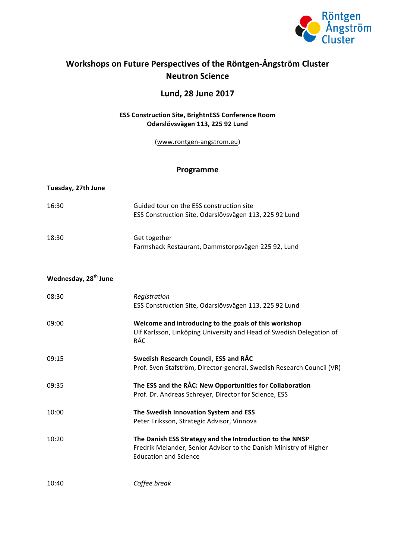

# Workshops on Future Perspectives of the Röntgen-Ångström Cluster **Neutron Science**

### **Lund, 28 June 2017**

#### **ESS Construction Site, BrightnESS Conference Room Odarslövsvägen 113, 225 92 Lund**

(www.rontgen-angstrom.eu)

#### **Programme**

| Tuesday, 27th June               |                                                                                                                                                               |
|----------------------------------|---------------------------------------------------------------------------------------------------------------------------------------------------------------|
| 16:30                            | Guided tour on the ESS construction site<br>ESS Construction Site, Odarslövsvägen 113, 225 92 Lund                                                            |
| 18:30                            | Get together<br>Farmshack Restaurant, Dammstorpsvägen 225 92, Lund                                                                                            |
| Wednesday, 28 <sup>th</sup> June |                                                                                                                                                               |
| 08:30                            | Registration<br>ESS Construction Site, Odarslövsvägen 113, 225 92 Lund                                                                                        |
| 09:00                            | Welcome and introducing to the goals of this workshop<br>Ulf Karlsson, Linköping University and Head of Swedish Delegation of<br>RÅC                          |
| 09:15                            | Swedish Research Council, ESS and RÅC<br>Prof. Sven Stafström, Director-general, Swedish Research Council (VR)                                                |
| 09:35                            | The ESS and the RÅC: New Opportunities for Collaboration<br>Prof. Dr. Andreas Schreyer, Director for Science, ESS                                             |
| 10:00                            | The Swedish Innovation System and ESS<br>Peter Eriksson, Strategic Advisor, Vinnova                                                                           |
| 10:20                            | The Danish ESS Strategy and the Introduction to the NNSP<br>Fredrik Melander, Senior Advisor to the Danish Ministry of Higher<br><b>Education and Science</b> |
| 10:40                            | Coffee break                                                                                                                                                  |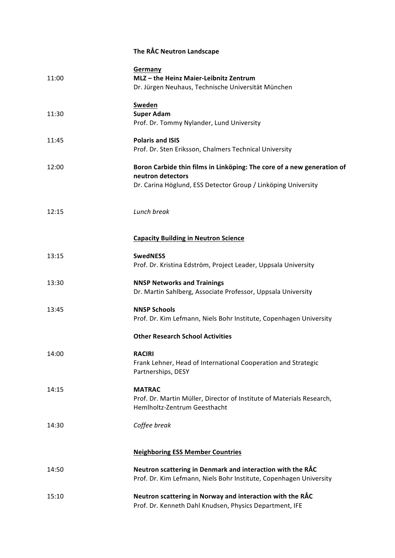## **The RÅC Neutron Landscape**

| 11:00 | Germany<br>MLZ-the Heinz Maier-Leibnitz Zentrum<br>Dr. Jürgen Neuhaus, Technische Universität München                                                        |
|-------|--------------------------------------------------------------------------------------------------------------------------------------------------------------|
| 11:30 | Sweden<br><b>Super Adam</b><br>Prof. Dr. Tommy Nylander, Lund University                                                                                     |
| 11:45 | <b>Polaris and ISIS</b><br>Prof. Dr. Sten Eriksson, Chalmers Technical University                                                                            |
| 12:00 | Boron Carbide thin films in Linköping: The core of a new generation of<br>neutron detectors<br>Dr. Carina Höglund, ESS Detector Group / Linköping University |
| 12:15 | Lunch break                                                                                                                                                  |
|       | <b>Capacity Building in Neutron Science</b>                                                                                                                  |
| 13:15 | <b>SwedNESS</b><br>Prof. Dr. Kristina Edström, Project Leader, Uppsala University                                                                            |
| 13:30 | <b>NNSP Networks and Trainings</b><br>Dr. Martin Sahlberg, Associate Professor, Uppsala University                                                           |
| 13:45 | <b>NNSP Schools</b><br>Prof. Dr. Kim Lefmann, Niels Bohr Institute, Copenhagen University                                                                    |
|       | <b>Other Research School Activities</b>                                                                                                                      |
| 14:00 | <b>RACIRI</b><br>Frank Lehner, Head of International Cooperation and Strategic<br>Partnerships, DESY                                                         |
| 14:15 | <b>MATRAC</b><br>Prof. Dr. Martin Müller, Director of Institute of Materials Research,<br>Hemlholtz-Zentrum Geesthacht                                       |
| 14:30 | Coffee break                                                                                                                                                 |
|       | <b>Neighboring ESS Member Countries</b>                                                                                                                      |
| 14:50 | Neutron scattering in Denmark and interaction with the RÅC<br>Prof. Dr. Kim Lefmann, Niels Bohr Institute, Copenhagen University                             |
| 15:10 | Neutron scattering in Norway and interaction with the RÅC<br>Prof. Dr. Kenneth Dahl Knudsen, Physics Department, IFE                                         |